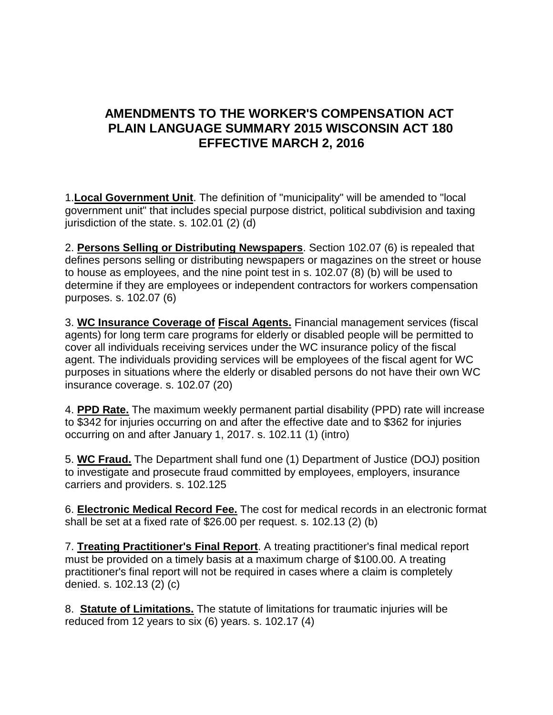## **AMENDMENTS TO THE WORKER'S COMPENSATION ACT PLAIN LANGUAGE SUMMARY 2015 WISCONSIN ACT 180 EFFECTIVE MARCH 2, 2016**

1.**Local Government Unit**. The definition of "municipality" will be amended to "local government unit" that includes special purpose district, political subdivision and taxing jurisdiction of the state. s. 102.01 (2) (d)

2. **Persons Selling or Distributing Newspapers**. Section 102.07 (6) is repealed that defines persons selling or distributing newspapers or magazines on the street or house to house as employees, and the nine point test in s. 102.07 (8) (b) will be used to determine if they are employees or independent contractors for workers compensation purposes. s. 102.07 (6)

3. **WC Insurance Coverage of Fiscal Agents.** Financial management services (fiscal agents) for long term care programs for elderly or disabled people will be permitted to cover all individuals receiving services under the WC insurance policy of the fiscal agent. The individuals providing services will be employees of the fiscal agent for WC purposes in situations where the elderly or disabled persons do not have their own WC insurance coverage. s. 102.07 (20)

4. **PPD Rate.** The maximum weekly permanent partial disability (PPD) rate will increase to \$342 for injuries occurring on and after the effective date and to \$362 for injuries occurring on and after January 1, 2017. s. 102.11 (1) (intro)

5. **WC Fraud.** The Department shall fund one (1) Department of Justice (DOJ) position to investigate and prosecute fraud committed by employees, employers, insurance carriers and providers. s. 102.125

6. **Electronic Medical Record Fee.** The cost for medical records in an electronic format shall be set at a fixed rate of \$26.00 per request. s. 102.13 (2) (b)

7. **Treating Practitioner's Final Report**. A treating practitioner's final medical report must be provided on a timely basis at a maximum charge of \$100.00. A treating practitioner's final report will not be required in cases where a claim is completely denied. s. 102.13 (2) (c)

8. **Statute of Limitations.** The statute of limitations for traumatic injuries will be reduced from 12 years to six (6) years. s. 102.17 (4)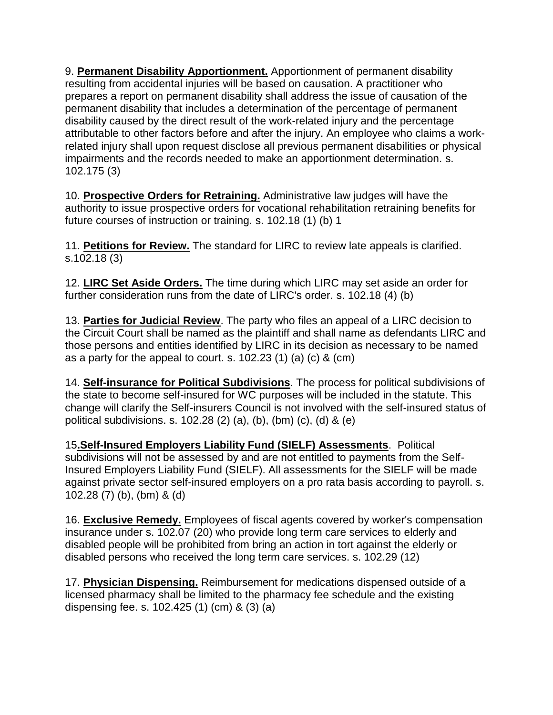9. **Permanent Disability Apportionment.** Apportionment of permanent disability resulting from accidental injuries will be based on causation. A practitioner who prepares a report on permanent disability shall address the issue of causation of the permanent disability that includes a determination of the percentage of permanent disability caused by the direct result of the work-related injury and the percentage attributable to other factors before and after the injury. An employee who claims a workrelated injury shall upon request disclose all previous permanent disabilities or physical impairments and the records needed to make an apportionment determination. s. 102.175 (3)

10. **Prospective Orders for Retraining.** Administrative law judges will have the authority to issue prospective orders for vocational rehabilitation retraining benefits for future courses of instruction or training. s. 102.18 (1) (b) 1

11. **Petitions for Review.** The standard for LIRC to review late appeals is clarified. s.102.18 (3)

12. **LIRC Set Aside Orders.** The time during which LIRC may set aside an order for further consideration runs from the date of LIRC's order. s. 102.18 (4) (b)

13. **Parties for Judicial Review**. The party who files an appeal of a LIRC decision to the Circuit Court shall be named as the plaintiff and shall name as defendants LIRC and those persons and entities identified by LIRC in its decision as necessary to be named as a party for the appeal to court. s. 102.23 (1) (a) (c) & (cm)

14. **Self-insurance for Political Subdivisions**. The process for political subdivisions of the state to become self-insured for WC purposes will be included in the statute. This change will clarify the Self-insurers Council is not involved with the self-insured status of political subdivisions. s. 102.28 (2) (a), (b), (bm) (c), (d) & (e)

15**.Self-Insured Employers Liability Fund (SIELF) Assessments**. Political subdivisions will not be assessed by and are not entitled to payments from the Self-Insured Employers Liability Fund (SIELF). All assessments for the SIELF will be made against private sector self-insured employers on a pro rata basis according to payroll. s. 102.28 (7) (b), (bm) & (d)

16. **Exclusive Remedy.** Employees of fiscal agents covered by worker's compensation insurance under s. 102.07 (20) who provide long term care services to elderly and disabled people will be prohibited from bring an action in tort against the elderly or disabled persons who received the long term care services. s. 102.29 (12)

17. **Physician Dispensing.** Reimbursement for medications dispensed outside of a licensed pharmacy shall be limited to the pharmacy fee schedule and the existing dispensing fee. s. 102.425 (1) (cm) & (3) (a)